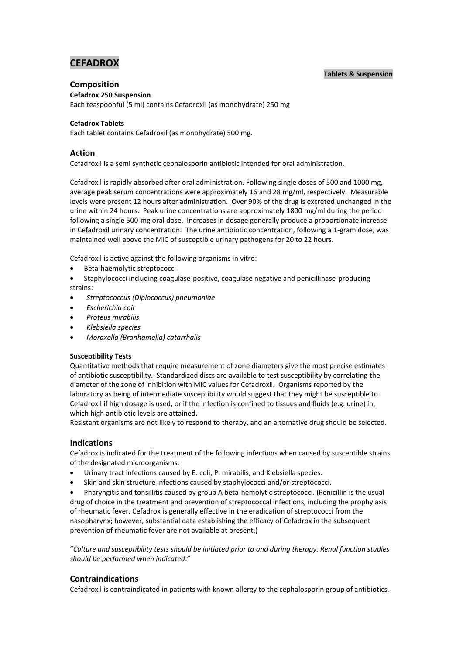# **CEFADROX**

# **Tablets & Suspension**

# **Composition**

**Cefadrox 250 Suspension**

Each teaspoonful (5 ml) contains Cefadroxil (as monohydrate) 250 mg

# **Cefadrox Tablets**

Each tablet contains Cefadroxil (as monohydrate) 500 mg.

# **Action**

Cefadroxil is a semi synthetic cephalosporin antibiotic intended for oral administration.

Cefadroxil is rapidly absorbed after oral administration. Following single doses of 500 and 1000 mg, average peak serum concentrations were approximately 16 and 28 mg/ml, respectively. Measurable levels were present 12 hours after administration. Over 90% of the drug is excreted unchanged in the urine within 24 hours. Peak urine concentrations are approximately 1800 mg/ml during the period following a single 500-mg oral dose. Increases in dosage generally produce a proportionate increase in Cefadroxil urinary concentration. The urine antibiotic concentration, following a 1-gram dose, was maintained well above the MIC of susceptible urinary pathogens for 20 to 22 hours.

Cefadroxil is active against the following organisms in vitro:

- Beta-haemolytic streptococci
- Staphylococci including coagulase-positive, coagulase negative and penicillinase-producing strains:
- *Streptococcus (Diplococcus) pneumoniae*
- *Escherichia coil*
- *Proteus mirabilis*
- *Klebsiella species*
- *Moraxella (Branhamelia) catarrhalis*

# **Susceptibility Tests**

Quantitative methods that require measurement of zone diameters give the most precise estimates of antibiotic susceptibility. Standardized discs are available to test susceptibility by correlating the diameter of the zone of inhibition with MIC values for Cefadroxil. Organisms reported by the laboratory as being of intermediate susceptibility would suggest that they might be susceptible to Cefadroxil if high dosage is used, or if the infection is confined to tissues and fluids (e.g. urine) in, which high antibiotic levels are attained.

Resistant organisms are not likely to respond to therapy, and an alternative drug should be selected.

# **Indications**

Cefadrox is indicated for the treatment of the following infections when caused by susceptible strains of the designated microorganisms:

- Urinary tract infections caused by E. coli, P. mirabilis, and Klebsiella species.
- Skin and skin structure infections caused by staphylococci and/or streptococci.

 Pharyngitis and tonsillitis caused by group A beta-hemolytic streptococci. (Penicillin is the usual drug of choice in the treatment and prevention of streptococcal infections, including the prophylaxis of rheumatic fever. Cefadrox is generally effective in the eradication of streptococci from the nasopharynx; however, substantial data establishing the efficacy of Cefadrox in the subsequent prevention of rheumatic fever are not available at present.)

"*Culture and susceptibility tests should be initiated prior to and during therapy. Renal function studies should be performed when indicated*."

# **Contraindications**

Cefadroxil is contraindicated in patients with known allergy to the cephalosporin group of antibiotics.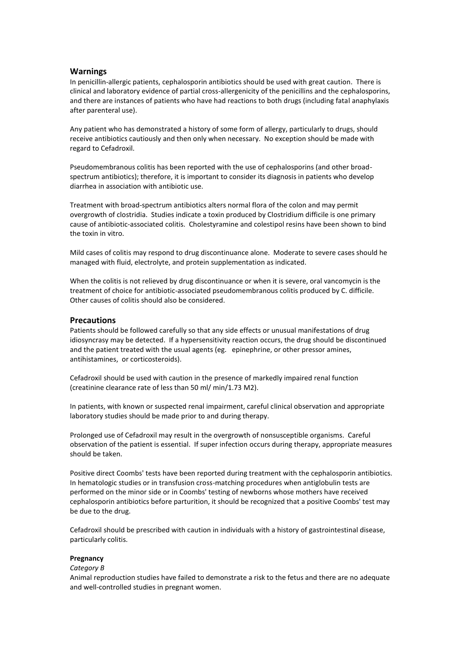### **Warnings**

In penicillin-allergic patients, cephalosporin antibiotics should be used with great caution. There is clinical and laboratory evidence of partial cross-allergenicity of the penicillins and the cephalosporins, and there are instances of patients who have had reactions to both drugs (including fatal anaphylaxis after parenteral use).

Any patient who has demonstrated a history of some form of allergy, particularly to drugs, should receive antibiotics cautiously and then only when necessary. No exception should be made with regard to Cefadroxil.

Pseudomembranous colitis has been reported with the use of cephalosporins (and other broadspectrum antibiotics); therefore, it is important to consider its diagnosis in patients who develop diarrhea in association with antibiotic use.

Treatment with broad-spectrum antibiotics alters normal flora of the colon and may permit overgrowth of clostridia. Studies indicate a toxin produced by Clostridium difficile is one primary cause of antibiotic-associated colitis. Cholestyramine and colestipol resins have been shown to bind the toxin in vitro.

Mild cases of colitis may respond to drug discontinuance alone. Moderate to severe cases should he managed with fluid, electrolyte, and protein supplementation as indicated.

When the colitis is not relieved by drug discontinuance or when it is severe, oral vancomycin is the treatment of choice for antibiotic-associated pseudomembranous colitis produced by C. difficile. Other causes of colitis should also be considered.

### **Precautions**

Patients should be followed carefully so that any side effects or unusual manifestations of drug idiosyncrasy may be detected. If a hypersensitivity reaction occurs, the drug should be discontinued and the patient treated with the usual agents (eg. epinephrine, or other pressor amines, antihistamines, or corticosteroids).

Cefadroxil should be used with caution in the presence of markedly impaired renal function (creatinine clearance rate of less than 50 ml/ min/1.73 M2).

In patients, with known or suspected renal impairment, careful clinical observation and appropriate laboratory studies should be made prior to and during therapy.

Prolonged use of Cefadroxil may result in the overgrowth of nonsusceptible organisms. Careful observation of the patient is essential. If super infection occurs during therapy, appropriate measures should be taken.

Positive direct Coombs' tests have been reported during treatment with the cephalosporin antibiotics. In hematologic studies or in transfusion cross-matching procedures when antiglobulin tests are performed on the minor side or in Coombs' testing of newborns whose mothers have received cephalosporin antibiotics before parturition, it should be recognized that a positive Coombs' test may be due to the drug.

Cefadroxil should be prescribed with caution in individuals with a history of gastrointestinal disease, particularly colitis.

### **Pregnancy**

#### *Category B*

Animal reproduction studies have failed to demonstrate a risk to the fetus and there are no adequate and well-controlled studies in pregnant women.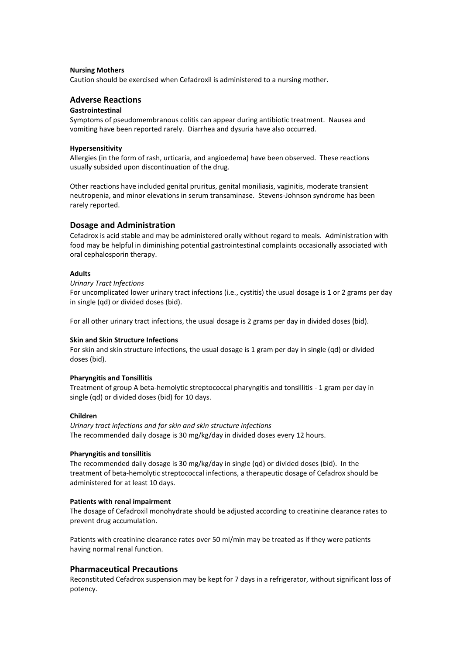#### **Nursing Mothers**

Caution should be exercised when Cefadroxil is administered to a nursing mother.

# **Adverse Reactions**

### **Gastrointestinal**

Symptoms of pseudomembranous colitis can appear during antibiotic treatment. Nausea and vomiting have been reported rarely. Diarrhea and dysuria have also occurred.

#### **Hypersensitivity**

Allergies (in the form of rash, urticaria, and angioedema) have been observed. These reactions usually subsided upon discontinuation of the drug.

Other reactions have included genital pruritus, genital moniliasis, vaginitis, moderate transient neutropenia, and minor elevations in serum transaminase. Stevens-Johnson syndrome has been rarely reported.

# **Dosage and Administration**

Cefadrox is acid stable and may be administered orally without regard to meals. Administration with food may be helpful in diminishing potential gastrointestinal complaints occasionally associated with oral cephalosporin therapy.

#### **Adults**

*Urinary Tract Infections*

For uncomplicated lower urinary tract infections (i.e., cystitis) the usual dosage is 1 or 2 grams per day in single (qd) or divided doses (bid).

For all other urinary tract infections, the usual dosage is 2 grams per day in divided doses (bid).

#### **Skin and Skin Structure Infections**

For skin and skin structure infections, the usual dosage is 1 gram per day in single (qd) or divided doses (bid).

#### **Pharyngitis and Tonsillitis**

Treatment of group A beta-hemolytic streptococcal pharyngitis and tonsillitis - 1 gram per day in single (qd) or divided doses (bid) for 10 days.

#### **Children**

*Urinary tract infections and for skin and skin structure infections* The recommended daily dosage is 30 mg/kg/day in divided doses every 12 hours.

#### **Pharyngitis and tonsillitis**

The recommended daily dosage is 30 mg/kg/day in single (qd) or divided doses (bid). In the treatment of beta-hemolytic streptococcal infections, a therapeutic dosage of Cefadrox should be administered for at least 10 days.

#### **Patients with renal impairment**

The dosage of Cefadroxil monohydrate should be adjusted according to creatinine clearance rates to prevent drug accumulation.

Patients with creatinine clearance rates over 50 ml/min may be treated as if they were patients having normal renal function.

# **Pharmaceutical Precautions**

Reconstituted Cefadrox suspension may be kept for 7 days in a refrigerator, without significant loss of potency.